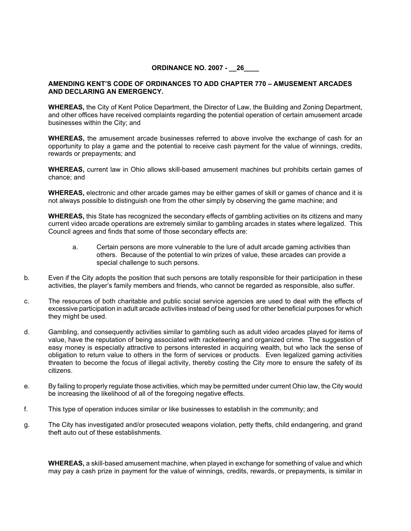#### **ORDINANCE NO. 2007 - \_\_26\_\_\_\_**

#### **AMENDING KENT'S CODE OF ORDINANCES TO ADD CHAPTER 770 – AMUSEMENT ARCADES AND DECLARING AN EMERGENCY.**

**WHEREAS,** the City of Kent Police Department, the Director of Law, the Building and Zoning Department, and other offices have received complaints regarding the potential operation of certain amusement arcade businesses within the City; and

**WHEREAS,** the amusement arcade businesses referred to above involve the exchange of cash for an opportunity to play a game and the potential to receive cash payment for the value of winnings, credits, rewards or prepayments; and

**WHEREAS,** current law in Ohio allows skill-based amusement machines but prohibits certain games of chance; and

**WHEREAS,** electronic and other arcade games may be either games of skill or games of chance and it is not always possible to distinguish one from the other simply by observing the game machine; and

**WHEREAS,** this State has recognized the secondary effects of gambling activities on its citizens and many current video arcade operations are extremely similar to gambling arcades in states where legalized. This Council agrees and finds that some of those secondary effects are:

- a. Certain persons are more vulnerable to the lure of adult arcade gaming activities than others. Because of the potential to win prizes of value, these arcades can provide a special challenge to such persons.
- b. Even if the City adopts the position that such persons are totally responsible for their participation in these activities, the player's family members and friends, who cannot be regarded as responsible, also suffer.
- c. The resources of both charitable and public social service agencies are used to deal with the effects of excessive participation in adult arcade activities instead of being used for other beneficial purposes for which they might be used.
- d. Gambling, and consequently activities similar to gambling such as adult video arcades played for items of value, have the reputation of being associated with racketeering and organized crime. The suggestion of easy money is especially attractive to persons interested in acquiring wealth, but who lack the sense of obligation to return value to others in the form of services or products. Even legalized gaming activities threaten to become the focus of illegal activity, thereby costing the City more to ensure the safety of its citizens.
- e. By failing to properly regulate those activities, which may be permitted under current Ohio law, the City would be increasing the likelihood of all of the foregoing negative effects.
- f. This type of operation induces similar or like businesses to establish in the community; and
- g. The City has investigated and/or prosecuted weapons violation, petty thefts, child endangering, and grand theft auto out of these establishments.

**WHEREAS,** a skill-based amusement machine, when played in exchange for something of value and which may pay a cash prize in payment for the value of winnings, credits, rewards, or prepayments, is similar in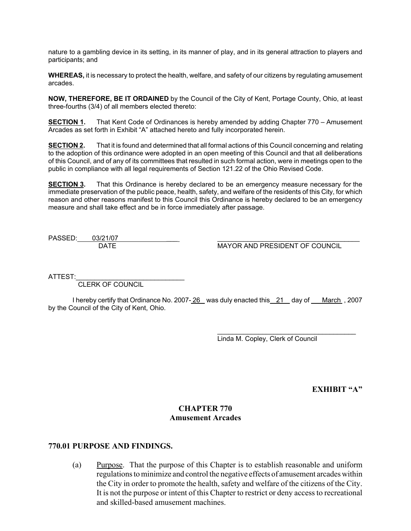nature to a gambling device in its setting, in its manner of play, and in its general attraction to players and participants; and

**WHEREAS,** it is necessary to protect the health, welfare, and safety of our citizens by regulating amusement arcades.

**NOW, THEREFORE, BE IT ORDAINED** by the Council of the City of Kent, Portage County, Ohio, at least three-fourths (3/4) of all members elected thereto:

**SECTION 1.** That Kent Code of Ordinances is hereby amended by adding Chapter 770 – Amusement Arcades as set forth in Exhibit "A" attached hereto and fully incorporated herein.

**SECTION 2.** That it is found and determined that all formal actions of this Council concerning and relating to the adoption of this ordinance were adopted in an open meeting of this Council and that all deliberations of this Council, and of any of its committees that resulted in such formal action, were in meetings open to the public in compliance with all legal requirements of Section 121.22 of the Ohio Revised Code.

**SECTION 3.** That this Ordinance is hereby declared to be an emergency measure necessary for the immediate preservation of the public peace, health, safety, and welfare of the residents of this City, for which reason and other reasons manifest to this Council this Ordinance is hereby declared to be an emergency measure and shall take effect and be in force immediately after passage.

PASSED: 03/21/07

DATE MAYOR AND PRESIDENT OF COUNCIL

ATTEST:

CLERK OF COUNCIL

I hereby certify that Ordinance No. 2007- 26 was duly enacted this 21 day of March , 2007 by the Council of the City of Kent, Ohio.

> $\mathcal{L}_\text{max}$  and  $\mathcal{L}_\text{max}$  and  $\mathcal{L}_\text{max}$  and  $\mathcal{L}_\text{max}$ Linda M. Copley, Clerk of Council

> > **EXHIBIT "A"**

### **CHAPTER 770 Amusement Arcades**

#### **770.01 PURPOSE AND FINDINGS.**

(a) Purpose. That the purpose of this Chapter is to establish reasonable and uniform regulations to minimize and control the negative effects of amusement arcades within the City in order to promote the health, safety and welfare of the citizens of the City. It is not the purpose or intent of this Chapter to restrict or deny access to recreational and skilled-based amusement machines.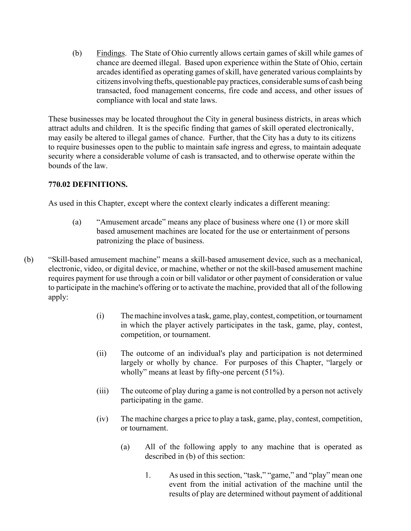(b) Findings. The State of Ohio currently allows certain games of skill while games of chance are deemed illegal. Based upon experience within the State of Ohio, certain arcades identified as operating games of skill, have generated various complaints by citizens involving thefts, questionable pay practices, considerable sums of cash being transacted, food management concerns, fire code and access, and other issues of compliance with local and state laws.

These businesses may be located throughout the City in general business districts, in areas which attract adults and children. It is the specific finding that games of skill operated electronically, may easily be altered to illegal games of chance. Further, that the City has a duty to its citizens to require businesses open to the public to maintain safe ingress and egress, to maintain adequate security where a considerable volume of cash is transacted, and to otherwise operate within the bounds of the law.

## **770.02 DEFINITIONS.**

As used in this Chapter, except where the context clearly indicates a different meaning:

- (a) "Amusement arcade" means any place of business where one (1) or more skill based amusement machines are located for the use or entertainment of persons patronizing the place of business.
- (b) "Skill-based amusement machine" means a skill-based amusement device, such as a mechanical, electronic, video, or digital device, or machine, whether or not the skill-based amusement machine requires payment for use through a coin or bill validator or other payment of consideration or value to participate in the machine's offering or to activate the machine, provided that all of the following apply:
	- (i) The machine involves a task, game, play, contest, competition, or tournament in which the player actively participates in the task, game, play, contest, competition, or tournament.
	- (ii) The outcome of an individual's play and participation is not determined largely or wholly by chance. For purposes of this Chapter, "largely or wholly" means at least by fifty-one percent  $(51\%)$ .
	- (iii) The outcome of play during a game is not controlled by a person not actively participating in the game.
	- (iv) The machine charges a price to play a task, game, play, contest, competition, or tournament.
		- (a) All of the following apply to any machine that is operated as described in (b) of this section:
			- 1. As used in this section, "task," "game," and "play" mean one event from the initial activation of the machine until the results of play are determined without payment of additional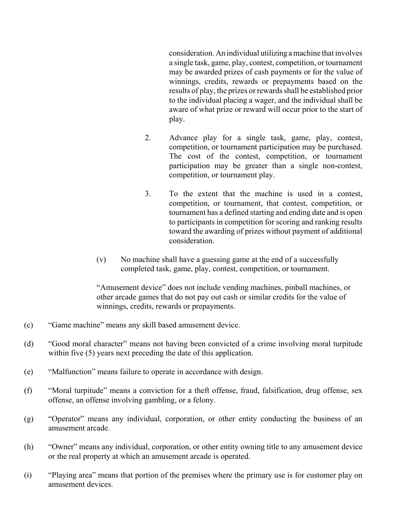consideration. An individual utilizing a machine that involves a single task, game, play, contest, competition, or tournament may be awarded prizes of cash payments or for the value of winnings, credits, rewards or prepayments based on the results of play, the prizes or rewards shall be established prior to the individual placing a wager, and the individual shall be aware of what prize or reward will occur prior to the start of play.

- 2. Advance play for a single task, game, play, contest, competition, or tournament participation may be purchased. The cost of the contest, competition, or tournament participation may be greater than a single non-contest, competition, or tournament play.
- 3. To the extent that the machine is used in a contest, competition, or tournament, that contest, competition, or tournament has a defined starting and ending date and is open to participants in competition for scoring and ranking results toward the awarding of prizes without payment of additional consideration.
- (v) No machine shall have a guessing game at the end of a successfully completed task, game, play, contest, competition, or tournament.

"Amusement device" does not include vending machines, pinball machines, or other arcade games that do not pay out cash or similar credits for the value of winnings, credits, rewards or prepayments.

- (c) "Game machine" means any skill based amusement device.
- (d) "Good moral character" means not having been convicted of a crime involving moral turpitude within five (5) years next preceding the date of this application.
- (e) "Malfunction" means failure to operate in accordance with design.
- (f) "Moral turpitude" means a conviction for a theft offense, fraud, falsification, drug offense, sex offense, an offense involving gambling, or a felony.
- (g) "Operator" means any individual, corporation, or other entity conducting the business of an amusement arcade.
- (h) "Owner" means any individual, corporation, or other entity owning title to any amusement device or the real property at which an amusement arcade is operated.
- (i) "Playing area" means that portion of the premises where the primary use is for customer play on amusement devices.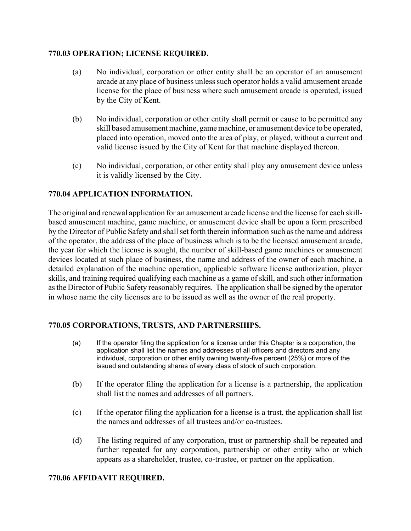### **770.03 OPERATION; LICENSE REQUIRED.**

- (a) No individual, corporation or other entity shall be an operator of an amusement arcade at any place of business unless such operator holds a valid amusement arcade license for the place of business where such amusement arcade is operated, issued by the City of Kent.
- (b) No individual, corporation or other entity shall permit or cause to be permitted any skill based amusement machine, game machine, or amusement device to be operated, placed into operation, moved onto the area of play, or played, without a current and valid license issued by the City of Kent for that machine displayed thereon.
- (c) No individual, corporation, or other entity shall play any amusement device unless it is validly licensed by the City.

## **770.04 APPLICATION INFORMATION.**

The original and renewal application for an amusement arcade license and the license for each skillbased amusement machine, game machine, or amusement device shall be upon a form prescribed by the Director of Public Safety and shall set forth therein information such as the name and address of the operator, the address of the place of business which is to be the licensed amusement arcade, the year for which the license is sought, the number of skill-based game machines or amusement devices located at such place of business, the name and address of the owner of each machine, a detailed explanation of the machine operation, applicable software license authorization, player skills, and training required qualifying each machine as a game of skill, and such other information as the Director of Public Safety reasonably requires. The application shall be signed by the operator in whose name the city licenses are to be issued as well as the owner of the real property.

### **770.05 CORPORATIONS, TRUSTS, AND PARTNERSHIPS.**

- (a) If the operator filing the application for a license under this Chapter is a corporation, the application shall list the names and addresses of all officers and directors and any individual, corporation or other entity owning twenty-five percent (25%) or more of the issued and outstanding shares of every class of stock of such corporation.
- (b) If the operator filing the application for a license is a partnership, the application shall list the names and addresses of all partners.
- (c) If the operator filing the application for a license is a trust, the application shall list the names and addresses of all trustees and/or co-trustees.
- (d) The listing required of any corporation, trust or partnership shall be repeated and further repeated for any corporation, partnership or other entity who or which appears as a shareholder, trustee, co-trustee, or partner on the application.

### **770.06 AFFIDAVIT REQUIRED.**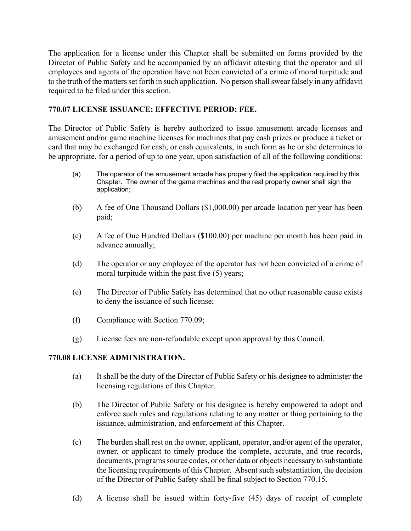The application for a license under this Chapter shall be submitted on forms provided by the Director of Public Safety and be accompanied by an affidavit attesting that the operator and all employees and agents of the operation have not been convicted of a crime of moral turpitude and to the truth of the matters set forth in such application. No person shall swear falsely in any affidavit required to be filed under this section.

## **770.07 LICENSE ISSUANCE; EFFECTIVE PERIOD; FEE.**

The Director of Public Safety is hereby authorized to issue amusement arcade licenses and amusement and/or game machine licenses for machines that pay cash prizes or produce a ticket or card that may be exchanged for cash, or cash equivalents, in such form as he or she determines to be appropriate, for a period of up to one year, upon satisfaction of all of the following conditions:

- (a) The operator of the amusement arcade has properly filed the application required by this Chapter. The owner of the game machines and the real property owner shall sign the application;
- (b) A fee of One Thousand Dollars (\$1,000.00) per arcade location per year has been paid;
- (c) A fee of One Hundred Dollars (\$100.00) per machine per month has been paid in advance annually;
- (d) The operator or any employee of the operator has not been convicted of a crime of moral turpitude within the past five (5) years;
- (e) The Director of Public Safety has determined that no other reasonable cause exists to deny the issuance of such license;
- (f) Compliance with Section 770.09;
- (g) License fees are non-refundable except upon approval by this Council.

## **770.08 LICENSE ADMINISTRATION.**

- (a) It shall be the duty of the Director of Public Safety or his designee to administer the licensing regulations of this Chapter.
- (b) The Director of Public Safety or his designee is hereby empowered to adopt and enforce such rules and regulations relating to any matter or thing pertaining to the issuance, administration, and enforcement of this Chapter.
- (c) The burden shall rest on the owner, applicant, operator, and/or agent of the operator, owner, or applicant to timely produce the complete, accurate, and true records, documents, programs source codes, or other data or objects necessary to substantiate the licensing requirements of this Chapter. Absent such substantiation, the decision of the Director of Public Safety shall be final subject to Section 770.15.
- (d) A license shall be issued within forty-five (45) days of receipt of complete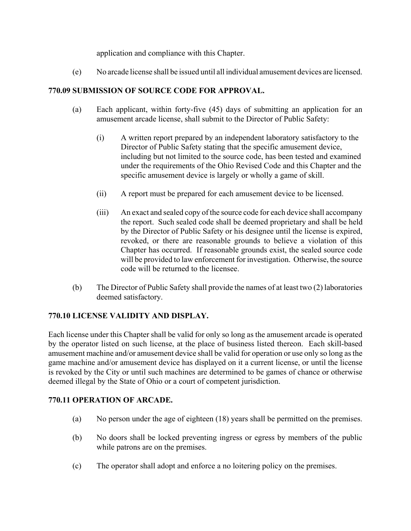application and compliance with this Chapter.

(e) No arcade license shall be issued until all individual amusement devices are licensed.

# **770.09 SUBMISSION OF SOURCE CODE FOR APPROVAL.**

- (a) Each applicant, within forty-five (45) days of submitting an application for an amusement arcade license, shall submit to the Director of Public Safety:
	- (i) A written report prepared by an independent laboratory satisfactory to the Director of Public Safety stating that the specific amusement device, including but not limited to the source code, has been tested and examined under the requirements of the Ohio Revised Code and this Chapter and the specific amusement device is largely or wholly a game of skill.
	- (ii) A report must be prepared for each amusement device to be licensed.
	- (iii) An exact and sealed copy of the source code for each device shall accompany the report. Such sealed code shall be deemed proprietary and shall be held by the Director of Public Safety or his designee until the license is expired, revoked, or there are reasonable grounds to believe a violation of this Chapter has occurred. If reasonable grounds exist, the sealed source code will be provided to law enforcement for investigation. Otherwise, the source code will be returned to the licensee.
- (b) The Director of Public Safety shall provide the names of at least two (2) laboratories deemed satisfactory.

# **770.10 LICENSE VALIDITY AND DISPLAY.**

Each license under this Chapter shall be valid for only so long as the amusement arcade is operated by the operator listed on such license, at the place of business listed thereon. Each skill-based amusement machine and/or amusement device shall be valid for operation or use only so long as the game machine and/or amusement device has displayed on it a current license, or until the license is revoked by the City or until such machines are determined to be games of chance or otherwise deemed illegal by the State of Ohio or a court of competent jurisdiction.

## **770.11 OPERATION OF ARCADE.**

- (a) No person under the age of eighteen (18) years shall be permitted on the premises.
- (b) No doors shall be locked preventing ingress or egress by members of the public while patrons are on the premises.
- (c) The operator shall adopt and enforce a no loitering policy on the premises.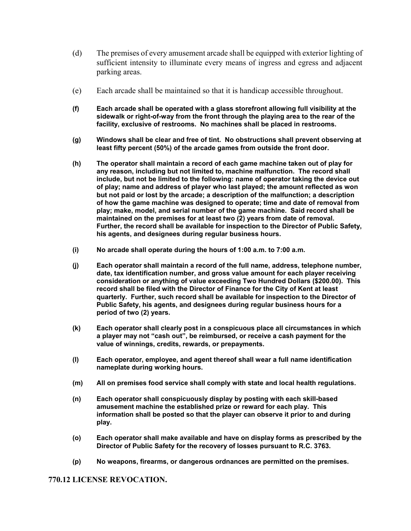- (d) The premises of every amusement arcade shall be equipped with exterior lighting of sufficient intensity to illuminate every means of ingress and egress and adjacent parking areas.
- (e) Each arcade shall be maintained so that it is handicap accessible throughout.
- **(f) Each arcade shall be operated with a glass storefront allowing full visibility at the sidewalk or right-of-way from the front through the playing area to the rear of the facility, exclusive of restrooms. No machines shall be placed in restrooms.**
- **(g) Windows shall be clear and free of tint. No obstructions shall prevent observing at least fifty percent (50%) of the arcade games from outside the front door.**
- **(h) The operator shall maintain a record of each game machine taken out of play for any reason, including but not limited to, machine malfunction. The record shall include, but not be limited to the following: name of operator taking the device out of play; name and address of player who last played; the amount reflected as won but not paid or lost by the arcade; a description of the malfunction; a description of how the game machine was designed to operate; time and date of removal from play; make, model, and serial number of the game machine. Said record shall be maintained on the premises for at least two (2) years from date of removal. Further, the record shall be available for inspection to the Director of Public Safety, his agents, and designees during regular business hours.**
- **(i) No arcade shall operate during the hours of 1:00 a.m. to 7:00 a.m.**
- **(j) Each operator shall maintain a record of the full name, address, telephone number, date, tax identification number, and gross value amount for each player receiving consideration or anything of value exceeding Two Hundred Dollars (\$200.00). This record shall be filed with the Director of Finance for the City of Kent at least quarterly. Further, such record shall be available for inspection to the Director of Public Safety, his agents, and designees during regular business hours for a period of two (2) years.**
- **(k) Each operator shall clearly post in a conspicuous place all circumstances in which a player may not "cash out", be reimbursed, or receive a cash payment for the value of winnings, credits, rewards, or prepayments.**
- **(l) Each operator, employee, and agent thereof shall wear a full name identification nameplate during working hours.**
- **(m) All on premises food service shall comply with state and local health regulations.**
- **(n) Each operator shall conspicuously display by posting with each skill-based amusement machine the established prize or reward for each play. This information shall be posted so that the player can observe it prior to and during play.**
- **(o) Each operator shall make available and have on display forms as prescribed by the Director of Public Safety for the recovery of losses pursuant to R.C. 3763.**
- **(p) No weapons, firearms, or dangerous ordnances are permitted on the premises.**

### **770.12 LICENSE REVOCATION.**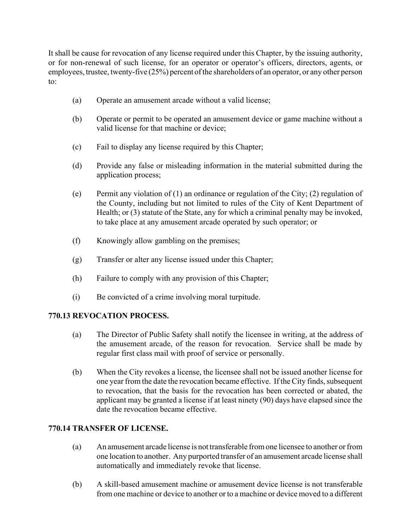It shall be cause for revocation of any license required under this Chapter, by the issuing authority, or for non-renewal of such license, for an operator or operator's officers, directors, agents, or employees, trustee, twenty-five (25%) percent of the shareholders of an operator, or any other person to:

- (a) Operate an amusement arcade without a valid license;
- (b) Operate or permit to be operated an amusement device or game machine without a valid license for that machine or device;
- (c) Fail to display any license required by this Chapter;
- (d) Provide any false or misleading information in the material submitted during the application process;
- (e) Permit any violation of  $(1)$  an ordinance or regulation of the City;  $(2)$  regulation of the County, including but not limited to rules of the City of Kent Department of Health; or (3) statute of the State, any for which a criminal penalty may be invoked, to take place at any amusement arcade operated by such operator; or
- (f) Knowingly allow gambling on the premises;
- (g) Transfer or alter any license issued under this Chapter;
- (h) Failure to comply with any provision of this Chapter;
- (i) Be convicted of a crime involving moral turpitude.

## **770.13 REVOCATION PROCESS.**

- (a) The Director of Public Safety shall notify the licensee in writing, at the address of the amusement arcade, of the reason for revocation. Service shall be made by regular first class mail with proof of service or personally.
- (b) When the City revokes a license, the licensee shall not be issued another license for one year from the date the revocation became effective. If the City finds, subsequent to revocation, that the basis for the revocation has been corrected or abated, the applicant may be granted a license if at least ninety (90) days have elapsed since the date the revocation became effective.

## **770.14 TRANSFER OF LICENSE.**

- (a) An amusement arcade license is not transferable from one licensee to another or from one location to another. Any purported transfer of an amusement arcade license shall automatically and immediately revoke that license.
- (b) A skill-based amusement machine or amusement device license is not transferable from one machine or device to another or to a machine or device moved to a different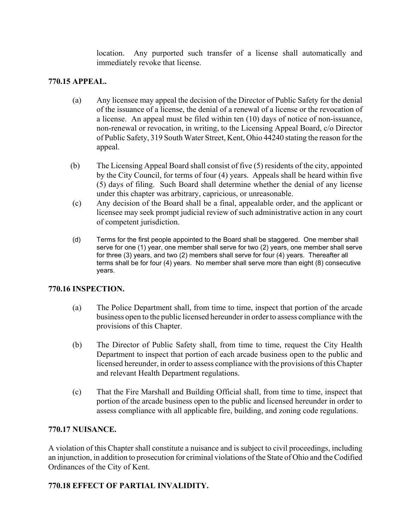location. Any purported such transfer of a license shall automatically and immediately revoke that license.

## **770.15 APPEAL.**

- (a) Any licensee may appeal the decision of the Director of Public Safety for the denial of the issuance of a license, the denial of a renewal of a license or the revocation of a license. An appeal must be filed within ten (10) days of notice of non-issuance, non-renewal or revocation, in writing, to the Licensing Appeal Board, c/o Director of Public Safety, 319 South Water Street, Kent, Ohio 44240 stating the reason for the appeal.
- (b) The Licensing Appeal Board shall consist of five (5) residents of the city, appointed by the City Council, for terms of four (4) years. Appeals shall be heard within five (5) days of filing. Such Board shall determine whether the denial of any license under this chapter was arbitrary, capricious, or unreasonable.
- (c) Any decision of the Board shall be a final, appealable order, and the applicant or licensee may seek prompt judicial review of such administrative action in any court of competent jurisdiction.
- (d) Terms for the first people appointed to the Board shall be staggered. One member shall serve for one (1) year, one member shall serve for two (2) years, one member shall serve for three (3) years, and two (2) members shall serve for four (4) years. Thereafter all terms shall be for four (4) years. No member shall serve more than eight (8) consecutive years.

## **770.16 INSPECTION.**

- (a) The Police Department shall, from time to time, inspect that portion of the arcade business open to the public licensed hereunder in order to assess compliance with the provisions of this Chapter.
- (b) The Director of Public Safety shall, from time to time, request the City Health Department to inspect that portion of each arcade business open to the public and licensed hereunder, in order to assess compliance with the provisions of this Chapter and relevant Health Department regulations.
- (c) That the Fire Marshall and Building Official shall, from time to time, inspect that portion of the arcade business open to the public and licensed hereunder in order to assess compliance with all applicable fire, building, and zoning code regulations.

## **770.17 NUISANCE.**

A violation of this Chapter shall constitute a nuisance and is subject to civil proceedings, including an injunction, in addition to prosecution for criminal violations of the State of Ohio and the Codified Ordinances of the City of Kent.

# **770.18 EFFECT OF PARTIAL INVALIDITY.**